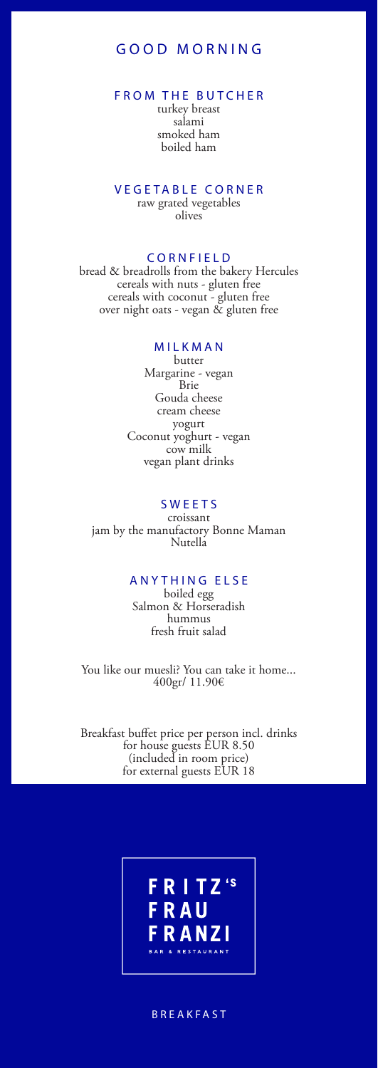# GOOD MORNING

## FROM THE BUTCHER

turkey breast salami smoked ham boiled ham

#### VEGETABLE CORNER raw grated vegetables olives

## CORNFIELD

bread & breadrolls from the bakery Hercules cereals with nuts - gluten free cereals with coconut - gluten free over night oats - vegan & gluten free

## MILKMAN

butter Margarine - vegan Brie Gouda cheese cream cheese yogurt Coconut yoghurt - vegan cow milk vegan plant drinks

## SWEETS

croissant jam by the manufactory Bonne Maman Nutella

## ANYTHING ELSE

boiled egg Salmon & Horseradish hummus fresh fruit salad

You like our muesli? You can take it home... 400gr/ 11.90€

Breakfast buffet price per person incl. drinks for house guests EUR 8.50 (included in room price) for external guests EUR 18

# F<mark>RITZ</mark>'s<br>FRAU **FRANZI**

#### BREAKFAST